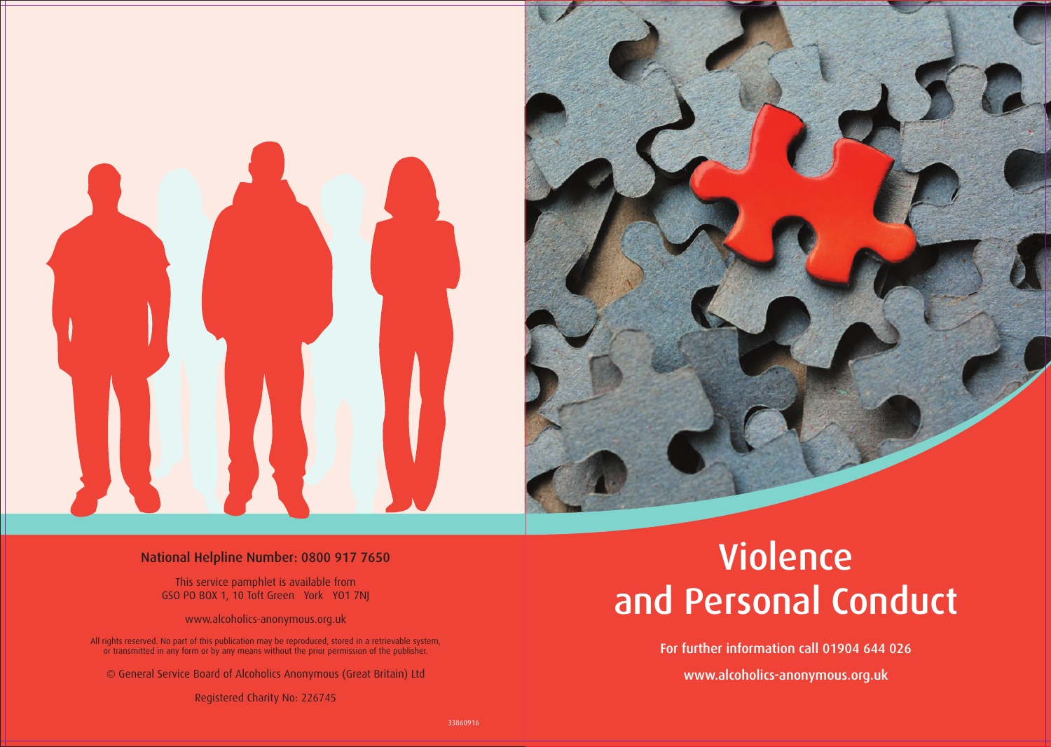



For further information call 01904 644 026

www.alcoholics-anonymous.org.uk

#### National Helpline Number: 0800 917 7650

This service pamphlet is available from GSO PO BOX 1, 10 Toft Green York YO1 7NJ

www.alcoholics-anonymous.org.uk

All rights reserved. No part of this publication may be reproduced, stored in a retrievable system, or transmitted in any form or by any means without the prior permission of the publisher.

© General Service Board of Alcoholics Anonymous (Great Britain) Ltd

Registered Charity No: 226745